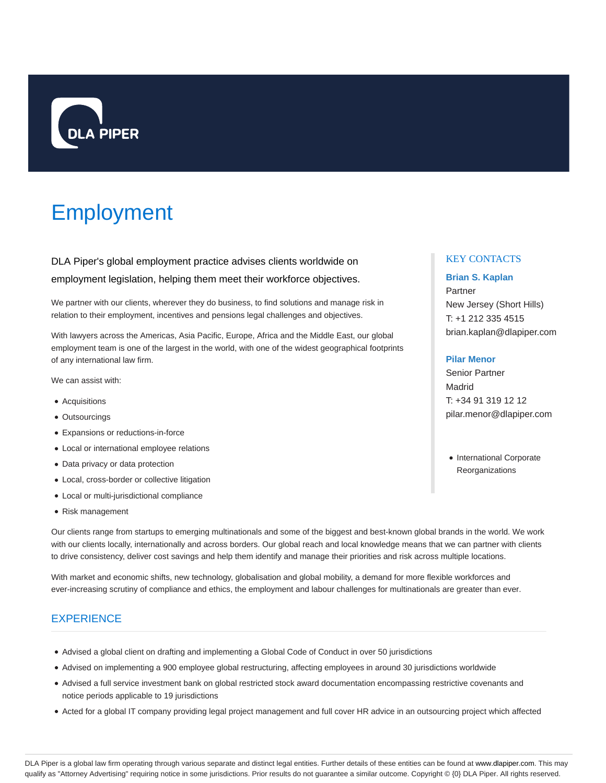

# Employment

DLA Piper's global employment practice advises clients worldwide on employment legislation, helping them meet their workforce objectives.

We partner with our clients, wherever they do business, to find solutions and manage risk in relation to their employment, incentives and pensions legal challenges and objectives.

With lawyers across the Americas, Asia Pacific, Europe, Africa and the Middle East, our global employment team is one of the largest in the world, with one of the widest geographical footprints of any international law firm.

We can assist with:

- Acquisitions
- Outsourcings
- Expansions or reductions-in-force
- Local or international employee relations
- Data privacy or data protection
- Local, cross-border or collective litigation
- Local or multi-jurisdictional compliance
- Risk management

Our clients range from startups to emerging multinationals and some of the biggest and best-known global brands in the world. We work with our clients locally, internationally and across borders. Our global reach and local knowledge means that we can partner with clients to drive consistency, deliver cost savings and help them identify and manage their priorities and risk across multiple locations.

With market and economic shifts, new technology, globalisation and global mobility, a demand for more flexible workforces and ever-increasing scrutiny of compliance and ethics, the employment and labour challenges for multinationals are greater than ever.

# **EXPERIENCE**

- Advised a global client on drafting and implementing a Global Code of Conduct in over 50 jurisdictions
- Advised on implementing a 900 employee global restructuring, affecting employees in around 30 jurisdictions worldwide
- Advised a full service investment bank on global restricted stock award documentation encompassing restrictive covenants and notice periods applicable to 19 jurisdictions
- Acted for a global IT company providing legal project management and full cover HR advice in an outsourcing project which affected

## KEY CONTACTS

## **Brian S. Kaplan**

Partner New Jersey (Short Hills) T: +1 212 335 4515 brian.kaplan@dlapiper.com

## **Pilar Menor**

Senior Partner Madrid T: +34 91 319 12 12 pilar.menor@dlapiper.com

• International Corporate **Reorganizations**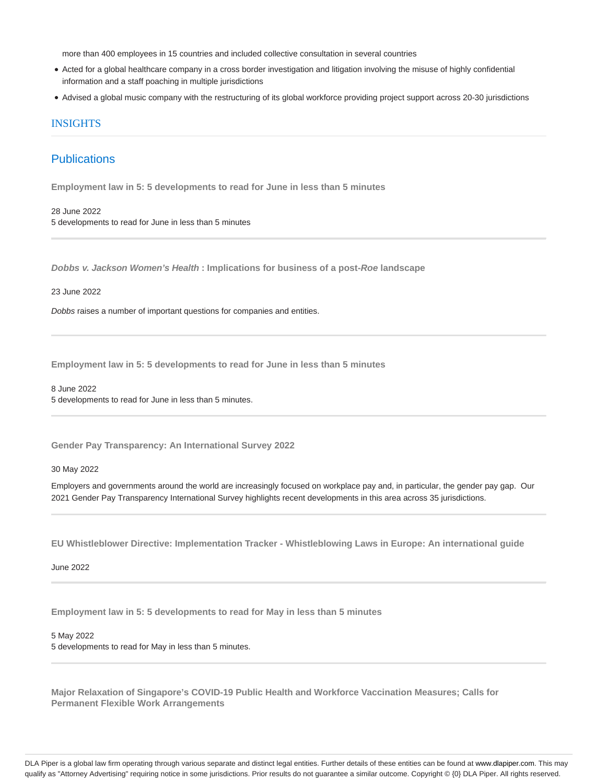more than 400 employees in 15 countries and included collective consultation in several countries

- Acted for a global healthcare company in a cross border investigation and litigation involving the misuse of highly confidential information and a staff poaching in multiple jurisdictions
- Advised a global music company with the restructuring of its global workforce providing project support across 20-30 jurisdictions

## **INSIGHTS**

# **Publications**

**Employment law in 5: 5 developments to read for June in less than 5 minutes**

28 June 2022 5 developments to read for June in less than 5 minutes

**Dobbs v. Jackson Women's Health : Implications for business of a post-Roe landscape**

#### 23 June 2022

Dobbs raises a number of important questions for companies and entities.

**Employment law in 5: 5 developments to read for June in less than 5 minutes**

8 June 2022 5 developments to read for June in less than 5 minutes.

**Gender Pay Transparency: An International Survey 2022**

30 May 2022

Employers and governments around the world are increasingly focused on workplace pay and, in particular, the gender pay gap. Our 2021 Gender Pay Transparency International Survey highlights recent developments in this area across 35 jurisdictions.

**EU Whistleblower Directive: Implementation Tracker - Whistleblowing Laws in Europe: An international guide**

June 2022

**Employment law in 5: 5 developments to read for May in less than 5 minutes**

#### 5 May 2022

5 developments to read for May in less than 5 minutes.

**Major Relaxation of Singapore's COVID-19 Public Health and Workforce Vaccination Measures; Calls for Permanent Flexible Work Arrangements**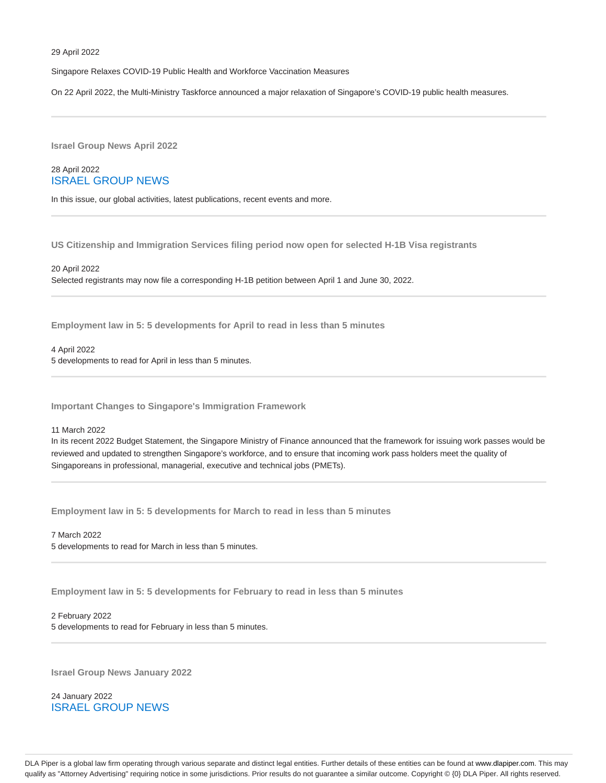Singapore Relaxes COVID-19 Public Health and Workforce Vaccination Measures

On 22 April 2022, the Multi-Ministry Taskforce announced a major relaxation of Singapore's COVID-19 public health measures.

**Israel Group News April 2022**

## 28 April 2022 ISRAEL GROUP NEWS

In this issue, our global activities, latest publications, recent events and more.

**US Citizenship and Immigration Services filing period now open for selected H-1B Visa registrants**

#### 20 April 2022

Selected registrants may now file a corresponding H-1B petition between April 1 and June 30, 2022.

**Employment law in 5: 5 developments for April to read in less than 5 minutes**

4 April 2022

5 developments to read for April in less than 5 minutes.

**Important Changes to Singapore's Immigration Framework**

#### 11 March 2022

In its recent 2022 Budget Statement, the Singapore Ministry of Finance announced that the framework for issuing work passes would be reviewed and updated to strengthen Singapore's workforce, and to ensure that incoming work pass holders meet the quality of Singaporeans in professional, managerial, executive and technical jobs (PMETs).

**Employment law in 5: 5 developments for March to read in less than 5 minutes**

7 March 2022 5 developments to read for March in less than 5 minutes.

**Employment law in 5: 5 developments for February to read in less than 5 minutes**

## 2 February 2022 5 developments to read for February in less than 5 minutes.

**Israel Group News January 2022**

24 January 2022 ISRAEL GROUP NEWS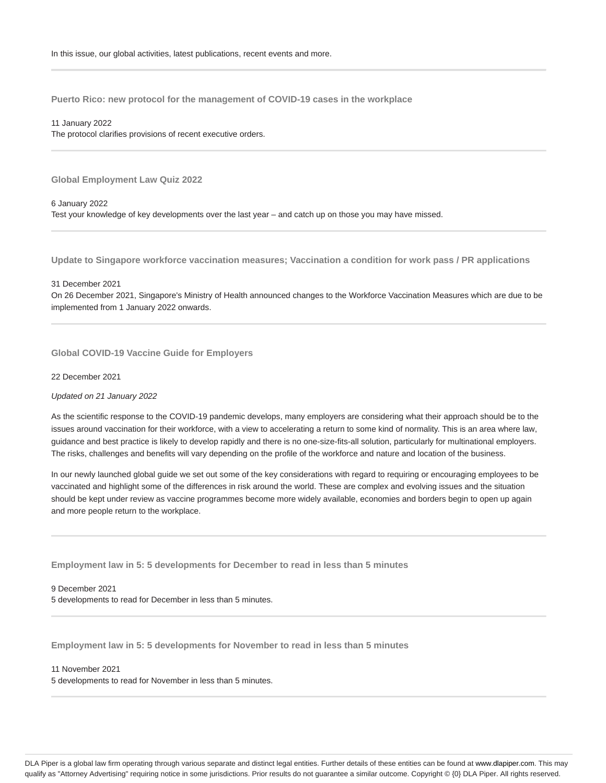**Puerto Rico: new protocol for the management of COVID-19 cases in the workplace**

11 January 2022

The protocol clarifies provisions of recent executive orders.

**Global Employment Law Quiz 2022**

6 January 2022 Test your knowledge of key developments over the last year – and catch up on those you may have missed.

**Update to Singapore workforce vaccination measures; Vaccination a condition for work pass / PR applications**

31 December 2021

On 26 December 2021, Singapore's Ministry of Health announced changes to the Workforce Vaccination Measures which are due to be implemented from 1 January 2022 onwards.

**Global COVID-19 Vaccine Guide for Employers**

22 December 2021

Updated on 21 January 2022

As the scientific response to the COVID-19 pandemic develops, many employers are considering what their approach should be to the issues around vaccination for their workforce, with a view to accelerating a return to some kind of normality. This is an area where law, guidance and best practice is likely to develop rapidly and there is no one-size-fits-all solution, particularly for multinational employers. The risks, challenges and benefits will vary depending on the profile of the workforce and nature and location of the business.

In our newly launched global guide we set out some of the key considerations with regard to requiring or encouraging employees to be vaccinated and highlight some of the differences in risk around the world. These are complex and evolving issues and the situation should be kept under review as vaccine programmes become more widely available, economies and borders begin to open up again and more people return to the workplace.

**Employment law in 5: 5 developments for December to read in less than 5 minutes**

9 December 2021 5 developments to read for December in less than 5 minutes.

**Employment law in 5: 5 developments for November to read in less than 5 minutes**

## 11 November 2021

5 developments to read for November in less than 5 minutes.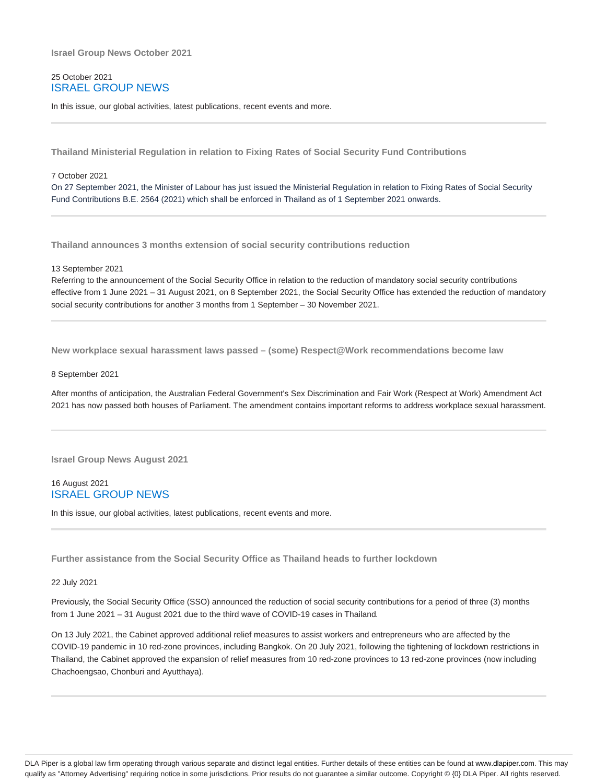## 25 October 2021 ISRAEL GROUP NEWS

In this issue, our global activities, latest publications, recent events and more.

**Thailand Ministerial Regulation in relation to Fixing Rates of Social Security Fund Contributions**

#### 7 October 2021

On 27 September 2021, the Minister of Labour has just issued the Ministerial Regulation in relation to Fixing Rates of Social Security Fund Contributions B.E. 2564 (2021) which shall be enforced in Thailand as of 1 September 2021 onwards.

**Thailand announces 3 months extension of social security contributions reduction**

13 September 2021

Referring to the announcement of the Social Security Office in relation to the reduction of mandatory social security contributions effective from 1 June 2021 – 31 August 2021, on 8 September 2021, the Social Security Office has extended the reduction of mandatory social security contributions for another 3 months from 1 September – 30 November 2021.

**New workplace sexual harassment laws passed – (some) Respect@Work recommendations become law**

#### 8 September 2021

After months of anticipation, the Australian Federal Government's Sex Discrimination and Fair Work (Respect at Work) Amendment Act 2021 has now passed both houses of Parliament. The amendment contains important reforms to address workplace sexual harassment.

**Israel Group News August 2021**

## 16 August 2021 ISRAEL GROUP NEWS

In this issue, our global activities, latest publications, recent events and more.

**Further assistance from the Social Security Office as Thailand heads to further lockdown**

## 22 July 2021

Previously, the Social Security Office (SSO) announced the reduction of social security contributions for a period of three (3) months from 1 June 2021 – 31 August 2021 due to the third wave of COVID-19 cases in Thailand.

On 13 July 2021, the Cabinet approved additional relief measures to assist workers and entrepreneurs who are affected by the COVID-19 pandemic in 10 red-zone provinces, including Bangkok. On 20 July 2021, following the tightening of lockdown restrictions in Thailand, the Cabinet approved the expansion of relief measures from 10 red-zone provinces to 13 red-zone provinces (now including Chachoengsao, Chonburi and Ayutthaya).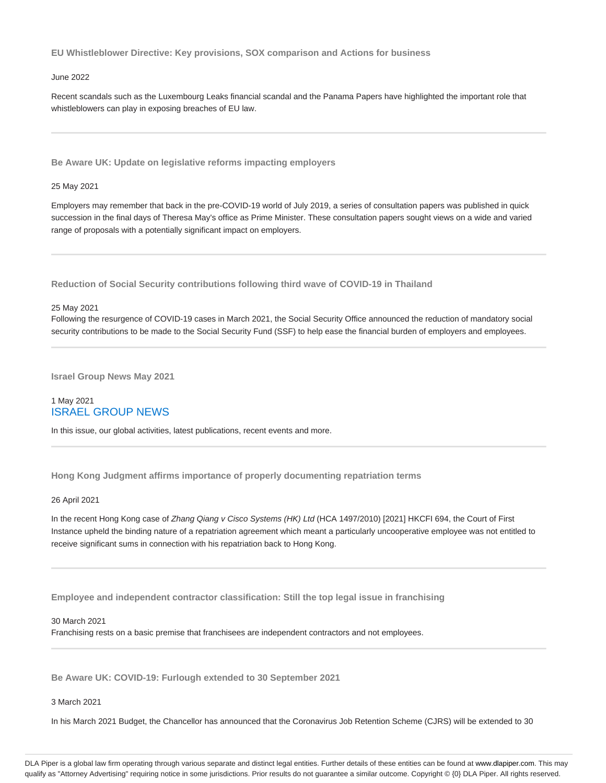**EU Whistleblower Directive: Key provisions, SOX comparison and Actions for business**

## June 2022

Recent scandals such as the Luxembourg Leaks financial scandal and the Panama Papers have highlighted the important role that whistleblowers can play in exposing breaches of EU law.

**Be Aware UK: Update on legislative reforms impacting employers**

#### 25 May 2021

Employers may remember that back in the pre-COVID-19 world of July 2019, a series of consultation papers was published in quick succession in the final days of Theresa May's office as Prime Minister. These consultation papers sought views on a wide and varied range of proposals with a potentially significant impact on employers.

**Reduction of Social Security contributions following third wave of COVID-19 in Thailand**

#### 25 May 2021

Following the resurgence of COVID-19 cases in March 2021, the Social Security Office announced the reduction of mandatory social security contributions to be made to the Social Security Fund (SSF) to help ease the financial burden of employers and employees.

**Israel Group News May 2021**

## 1 May 2021 ISRAEL GROUP NEWS

In this issue, our global activities, latest publications, recent events and more.

**Hong Kong Judgment affirms importance of properly documenting repatriation terms**

#### 26 April 2021

In the recent Hong Kong case of Zhang Qiang v Cisco Systems (HK) Ltd (HCA 1497/2010) [2021] HKCFI 694, the Court of First Instance upheld the binding nature of a repatriation agreement which meant a particularly uncooperative employee was not entitled to receive significant sums in connection with his repatriation back to Hong Kong.

**Employee and independent contractor classification: Still the top legal issue in franchising**

#### 30 March 2021

Franchising rests on a basic premise that franchisees are independent contractors and not employees.

**Be Aware UK: COVID-19: Furlough extended to 30 September 2021**

#### 3 March 2021

In his March 2021 Budget, the Chancellor has announced that the Coronavirus Job Retention Scheme (CJRS) will be extended to 30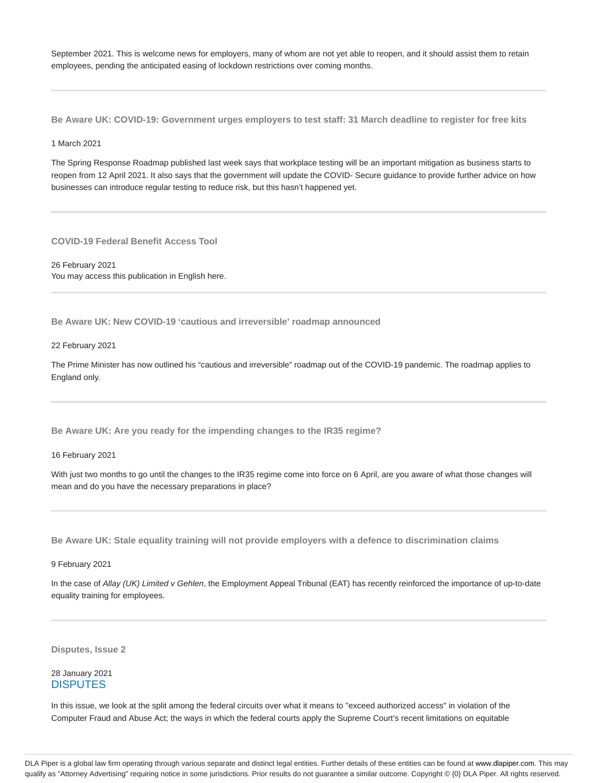September 2021. This is welcome news for employers, many of whom are not yet able to reopen, and it should assist them to retain employees, pending the anticipated easing of lockdown restrictions over coming months.

**Be Aware UK: COVID-19: Government urges employers to test staff: 31 March deadline to register for free kits**

1 March 2021

The Spring Response Roadmap published last week says that workplace testing will be an important mitigation as business starts to reopen from 12 April 2021. It also says that the government will update the COVID- Secure guidance to provide further advice on how businesses can introduce regular testing to reduce risk, but this hasn't happened yet.

**COVID-19 Federal Benefit Access Tool**

26 February 2021 You may access this publication in English here.

**Be Aware UK: New COVID-19 'cautious and irreversible' roadmap announced**

22 February 2021

The Prime Minister has now outlined his "cautious and irreversible" roadmap out of the COVID-19 pandemic. The roadmap applies to England only.

**Be Aware UK: Are you ready for the impending changes to the IR35 regime?**

16 February 2021

With just two months to go until the changes to the IR35 regime come into force on 6 April, are you aware of what those changes will mean and do you have the necessary preparations in place?

**Be Aware UK: Stale equality training will not provide employers with a defence to discrimination claims**

9 February 2021

In the case of Allay (UK) Limited v Gehlen, the Employment Appeal Tribunal (EAT) has recently reinforced the importance of up-to-date equality training for employees.

**Disputes, Issue 2**

28 January 2021 **DISPUTES** 

In this issue, we look at the split among the federal circuits over what it means to "exceed authorized access" in violation of the Computer Fraud and Abuse Act; the ways in which the federal courts apply the Supreme Court's recent limitations on equitable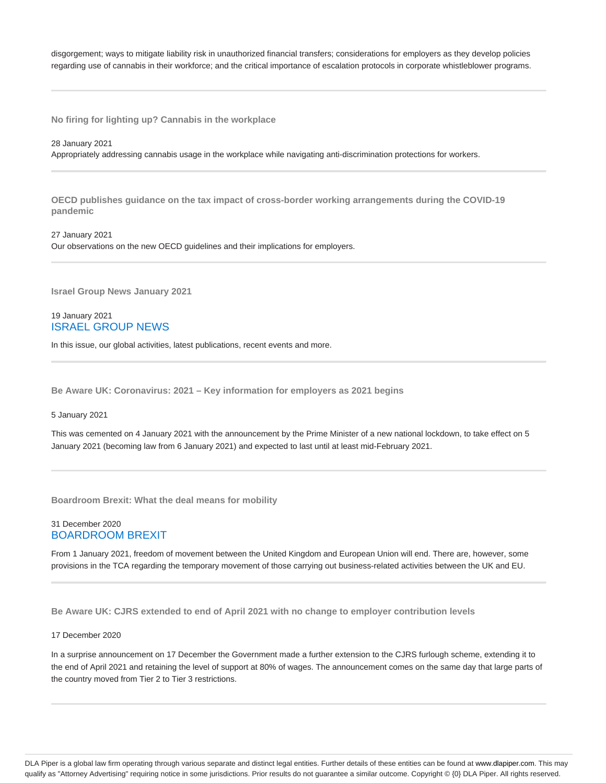disgorgement; ways to mitigate liability risk in unauthorized financial transfers; considerations for employers as they develop policies regarding use of cannabis in their workforce; and the critical importance of escalation protocols in corporate whistleblower programs.

**No firing for lighting up? Cannabis in the workplace**

#### 28 January 2021

Appropriately addressing cannabis usage in the workplace while navigating anti-discrimination protections for workers.

**OECD publishes guidance on the tax impact of cross-border working arrangements during the COVID-19 pandemic**

27 January 2021 Our observations on the new OECD guidelines and their implications for employers.

**Israel Group News January 2021**

## 19 January 2021 ISRAEL GROUP NEWS

In this issue, our global activities, latest publications, recent events and more.

**Be Aware UK: Coronavirus: 2021 – Key information for employers as 2021 begins**

5 January 2021

This was cemented on 4 January 2021 with the announcement by the Prime Minister of a new national lockdown, to take effect on 5 January 2021 (becoming law from 6 January 2021) and expected to last until at least mid-February 2021.

**Boardroom Brexit: What the deal means for mobility**

## 31 December 2020 BOARDROOM BREXIT

From 1 January 2021, freedom of movement between the United Kingdom and European Union will end. There are, however, some provisions in the TCA regarding the temporary movement of those carrying out business-related activities between the UK and EU.

**Be Aware UK: CJRS extended to end of April 2021 with no change to employer contribution levels**

## 17 December 2020

In a surprise announcement on 17 December the Government made a further extension to the CJRS furlough scheme, extending it to the end of April 2021 and retaining the level of support at 80% of wages. The announcement comes on the same day that large parts of the country moved from Tier 2 to Tier 3 restrictions.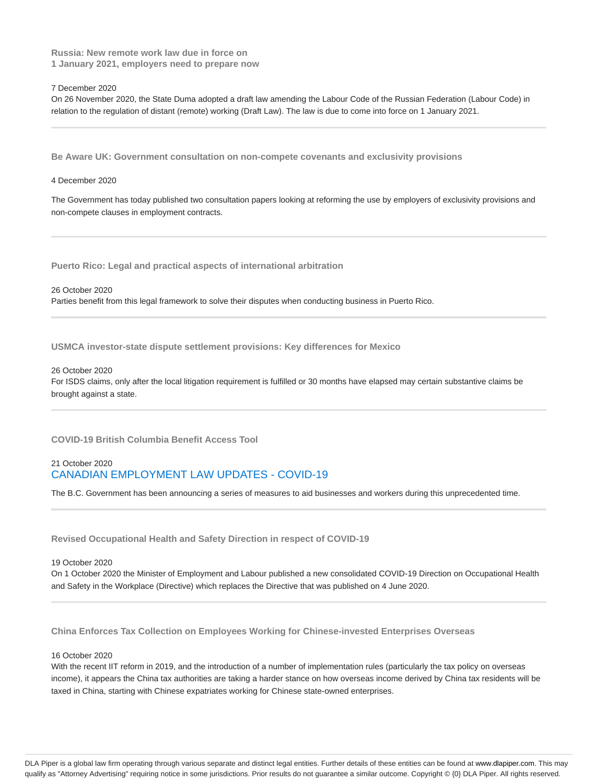**Russia: New remote work law due in force on 1 January 2021, employers need to prepare now**

7 December 2020

On 26 November 2020, the State Duma adopted a draft law amending the Labour Code of the Russian Federation (Labour Code) in relation to the regulation of distant (remote) working (Draft Law). The law is due to come into force on 1 January 2021.

**Be Aware UK: Government consultation on non-compete covenants and exclusivity provisions**

#### 4 December 2020

The Government has today published two consultation papers looking at reforming the use by employers of exclusivity provisions and non-compete clauses in employment contracts.

**Puerto Rico: Legal and practical aspects of international arbitration**

26 October 2020 Parties benefit from this legal framework to solve their disputes when conducting business in Puerto Rico.

**USMCA investor-state dispute settlement provisions: Key differences for Mexico**

26 October 2020

For ISDS claims, only after the local litigation requirement is fulfilled or 30 months have elapsed may certain substantive claims be brought against a state.

**COVID-19 British Columbia Benefit Access Tool**

## 21 October 2020 CANADIAN EMPLOYMENT LAW UPDATES - COVID-19

The B.C. Government has been announcing a series of measures to aid businesses and workers during this unprecedented time.

**Revised Occupational Health and Safety Direction in respect of COVID-19**

#### 19 October 2020

On 1 October 2020 the Minister of Employment and Labour published a new consolidated COVID-19 Direction on Occupational Health and Safety in the Workplace (Directive) which replaces the Directive that was published on 4 June 2020.

**China Enforces Tax Collection on Employees Working for Chinese-invested Enterprises Overseas**

## 16 October 2020

With the recent IIT reform in 2019, and the introduction of a number of implementation rules (particularly the tax policy on overseas income), it appears the China tax authorities are taking a harder stance on how overseas income derived by China tax residents will be taxed in China, starting with Chinese expatriates working for Chinese state-owned enterprises.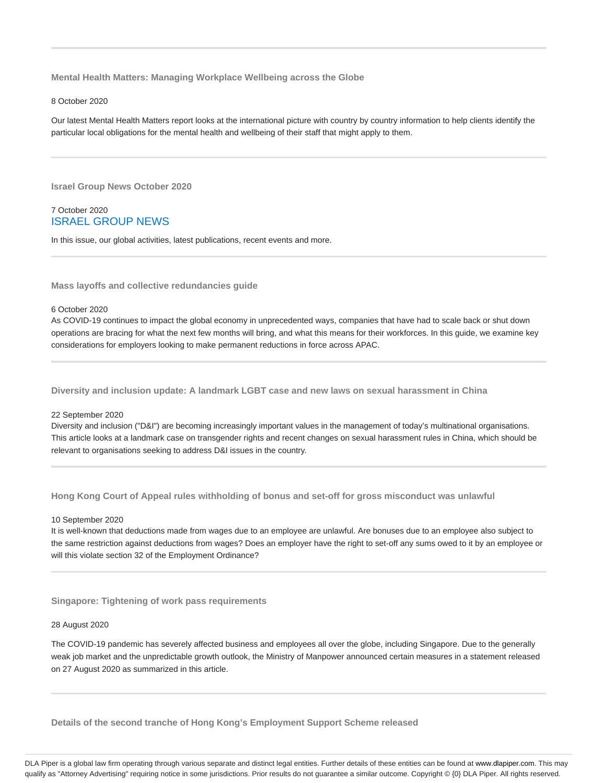**Mental Health Matters: Managing Workplace Wellbeing across the Globe**

#### 8 October 2020

Our latest Mental Health Matters report looks at the international picture with country by country information to help clients identify the particular local obligations for the mental health and wellbeing of their staff that might apply to them.

**Israel Group News October 2020**

## 7 October 2020 ISRAEL GROUP NEWS

In this issue, our global activities, latest publications, recent events and more.

**Mass layoffs and collective redundancies guide**

#### 6 October 2020

As COVID-19 continues to impact the global economy in unprecedented ways, companies that have had to scale back or shut down operations are bracing for what the next few months will bring, and what this means for their workforces. In this guide, we examine key considerations for employers looking to make permanent reductions in force across APAC.

**Diversity and inclusion update: A landmark LGBT case and new laws on sexual harassment in China**

#### 22 September 2020

Diversity and inclusion ("D&I") are becoming increasingly important values in the management of today's multinational organisations. This article looks at a landmark case on transgender rights and recent changes on sexual harassment rules in China, which should be relevant to organisations seeking to address D&I issues in the country.

**Hong Kong Court of Appeal rules withholding of bonus and set-off for gross misconduct was unlawful**

#### 10 September 2020

It is well-known that deductions made from wages due to an employee are unlawful. Are bonuses due to an employee also subject to the same restriction against deductions from wages? Does an employer have the right to set-off any sums owed to it by an employee or will this violate section 32 of the Employment Ordinance?

**Singapore: Tightening of work pass requirements**

#### 28 August 2020

The COVID-19 pandemic has severely affected business and employees all over the globe, including Singapore. Due to the generally weak job market and the unpredictable growth outlook, the Ministry of Manpower announced certain measures in a statement released on 27 August 2020 as summarized in this article.

**Details of the second tranche of Hong Kong's Employment Support Scheme released**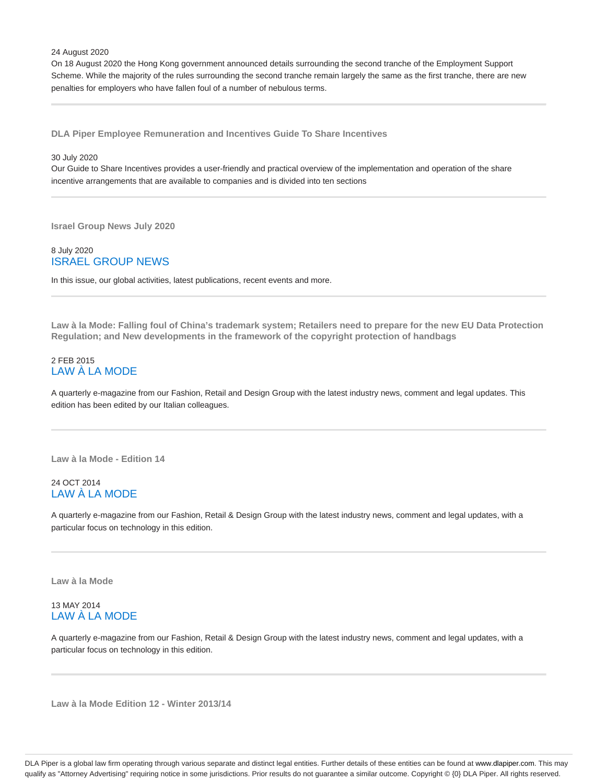24 August 2020

On 18 August 2020 the Hong Kong government announced details surrounding the second tranche of the Employment Support Scheme. While the majority of the rules surrounding the second tranche remain largely the same as the first tranche, there are new penalties for employers who have fallen foul of a number of nebulous terms.

**DLA Piper Employee Remuneration and Incentives Guide To Share Incentives**

30 July 2020

Our Guide to Share Incentives provides a user-friendly and practical overview of the implementation and operation of the share incentive arrangements that are available to companies and is divided into ten sections

**Israel Group News July 2020**

## 8 July 2020 ISRAEL GROUP NEWS

In this issue, our global activities, latest publications, recent events and more.

**Law à la Mode: Falling foul of China's trademark system; Retailers need to prepare for the new EU Data Protection Regulation; and New developments in the framework of the copyright protection of handbags**

## 2 FEB 2015 LAW À LA MODE

A quarterly e-magazine from our Fashion, Retail and Design Group with the latest industry news, comment and legal updates. This edition has been edited by our Italian colleagues.

**Law à la Mode - Edition 14**

## 24 OCT 2014 LAW À LA MODE

A quarterly e-magazine from our Fashion, Retail & Design Group with the latest industry news, comment and legal updates, with a particular focus on technology in this edition.

**Law à la Mode**

## 13 MAY 2014 LAW À LA MODE

A quarterly e-magazine from our Fashion, Retail & Design Group with the latest industry news, comment and legal updates, with a particular focus on technology in this edition.

**Law à la Mode Edition 12 - Winter 2013/14**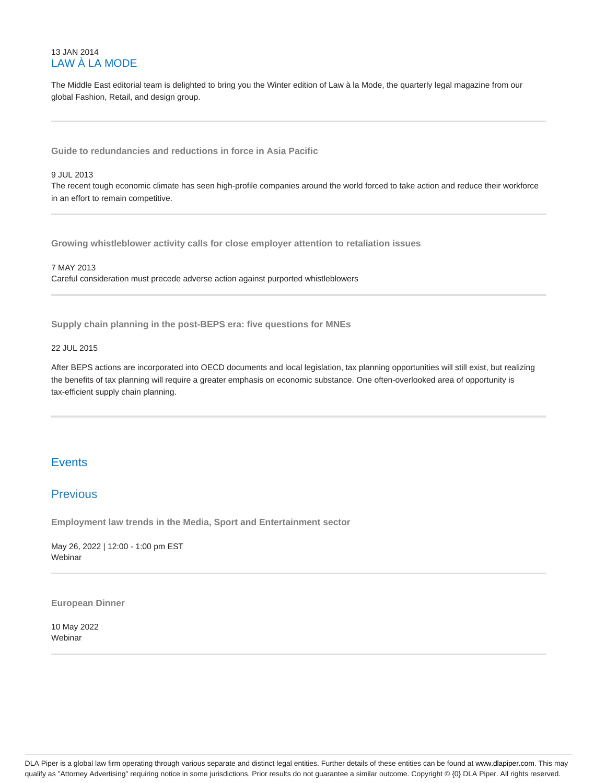## 13 JAN 2014 LAW À LA MODE

The Middle East editorial team is delighted to bring you the Winter edition of Law à la Mode, the quarterly legal magazine from our global Fashion, Retail, and design group.

**Guide to redundancies and reductions in force in Asia Pacific**

### 9 JUL 2013

The recent tough economic climate has seen high-profile companies around the world forced to take action and reduce their workforce in an effort to remain competitive.

**Growing whistleblower activity calls for close employer attention to retaliation issues**

7 MAY 2013 Careful consideration must precede adverse action against purported whistleblowers

**Supply chain planning in the post-BEPS era: five questions for MNEs**

## 22 JUL 2015

After BEPS actions are incorporated into OECD documents and local legislation, tax planning opportunities will still exist, but realizing the benefits of tax planning will require a greater emphasis on economic substance. One often-overlooked area of opportunity is tax-efficient supply chain planning.

# **Events**

# **Previous**

**Employment law trends in the Media, Sport and Entertainment sector**

May 26, 2022 | 12:00 - 1:00 pm EST Webinar

**European Dinner**

10 May 2022 Webinar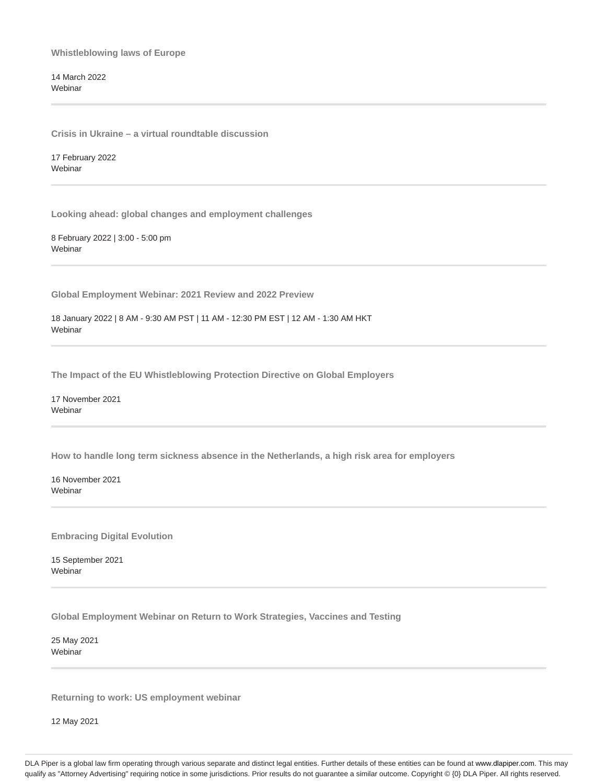**Whistleblowing laws of Europe**

14 March 2022 **Webinar** 

**Crisis in Ukraine – a virtual roundtable discussion**

17 February 2022 Webinar

**Looking ahead: global changes and employment challenges**

8 February 2022 | 3:00 - 5:00 pm **Webinar** 

**Global Employment Webinar: 2021 Review and 2022 Preview**

18 January 2022 | 8 AM - 9:30 AM PST | 11 AM - 12:30 PM EST | 12 AM - 1:30 AM HKT **Webinar** 

**The Impact of the EU Whistleblowing Protection Directive on Global Employers**

17 November 2021 **Webinar** 

**How to handle long term sickness absence in the Netherlands, a high risk area for employers**

16 November 2021 Webinar

**Embracing Digital Evolution**

15 September 2021 Webinar

**Global Employment Webinar on Return to Work Strategies, Vaccines and Testing**

25 May 2021 Webinar

**Returning to work: US employment webinar**

12 May 2021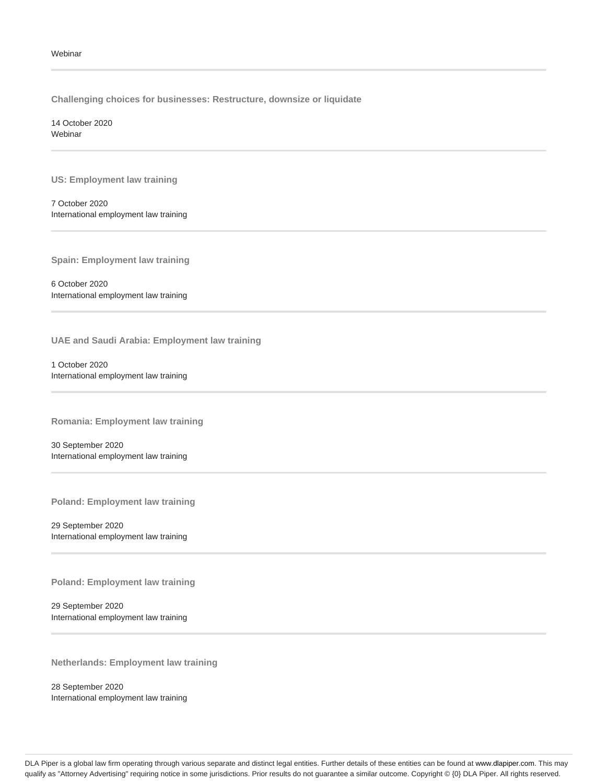**Challenging choices for businesses: Restructure, downsize or liquidate**

14 October 2020 Webinar

**US: Employment law training**

7 October 2020 International employment law training

**Spain: Employment law training**

6 October 2020 International employment law training

**UAE and Saudi Arabia: Employment law training**

1 October 2020 International employment law training

**Romania: Employment law training**

30 September 2020 International employment law training

**Poland: Employment law training**

29 September 2020 International employment law training

**Poland: Employment law training**

29 September 2020 International employment law training

**Netherlands: Employment law training**

28 September 2020 International employment law training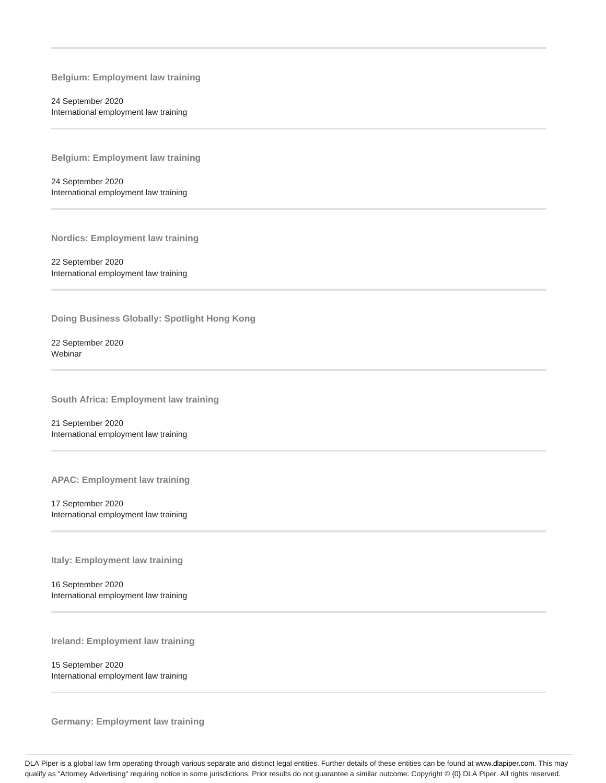**Belgium: Employment law training**

24 September 2020 International employment law training

**Belgium: Employment law training**

24 September 2020 International employment law training

**Nordics: Employment law training**

22 September 2020 International employment law training

**Doing Business Globally: Spotlight Hong Kong**

22 September 2020 Webinar

**South Africa: Employment law training**

21 September 2020 International employment law training

**APAC: Employment law training**

17 September 2020 International employment law training

**Italy: Employment law training**

16 September 2020 International employment law training

**Ireland: Employment law training**

15 September 2020 International employment law training

**Germany: Employment law training**